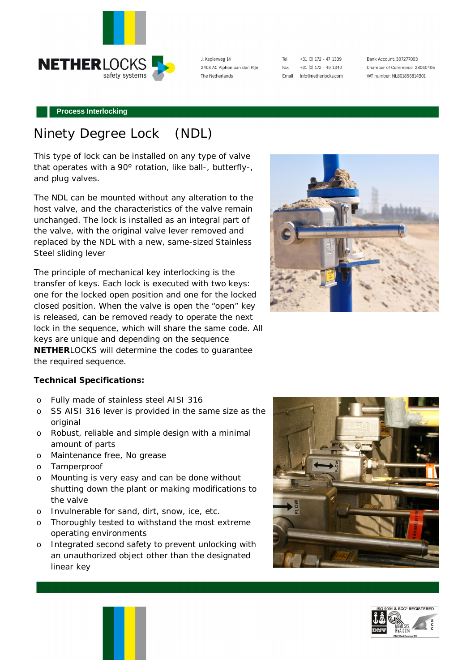

J. Keplerweg 14 2408 AC Alphen aan den Rijn The Netherlands

| Tel   | +31 [0] 172 - 47 1339 |
|-------|-----------------------|
| Fax   | +31 [0] 172 - 49 1342 |
| Email | info@netherlocks.com  |

Bank Account: 307277003 Chamber of Commerce: 28060405 VAT number: NL801856814B01

#### **Process Interlocking**

## Ninety Degree Lock (NDL)

This type of lock can be installed on any type of valve that operates with a 90º rotation, like ball-, butterfly-, and plug valves.

The NDL can be mounted without any alteration to the host valve, and the characteristics of the valve remain unchanged. The lock is installed as an integral part of the valve, with the original valve lever removed and replaced by the NDL with a new, same-sized Stainless Steel sliding lever

The principle of mechanical key interlocking is the transfer of keys. Each lock is executed with two keys: one for the locked open position and one for the locked closed position. When the valve is open the "open" key is released, can be removed ready to operate the next lock in the sequence, which will share the same code. All keys are unique and depending on the sequence **NETHER**LOCKS will determine the codes to guarantee the required sequence.



**Technical Specifications:**

- o Fully made of stainless steel AISI 316
- o SS AISI 316 lever is provided in the same size as the original
- o Robust, reliable and simple design with a minimal amount of parts
- o Maintenance free, No grease
- o Tamperproof
- o Mounting is very easy and can be done without shutting down the plant or making modifications to the valve
- o Invulnerable for sand, dirt, snow, ice, etc.
- o Thoroughly tested to withstand the most extreme operating environments
- o Integrated second safety to prevent unlocking with an unauthorized object other than the designated linear key